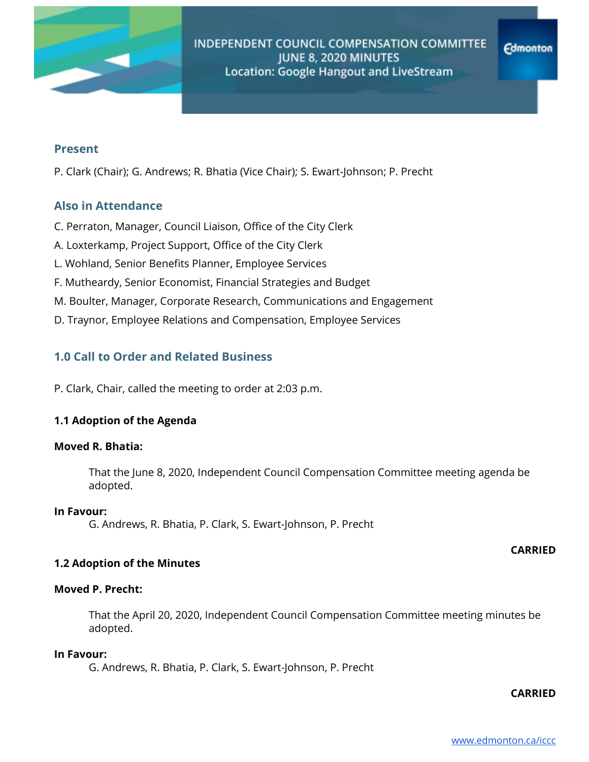

### **Present**

P. Clark (Chair); G. Andrews; R. Bhatia (Vice Chair); S. Ewart-Johnson; P. Precht

# **Also in Attendance**

- C. Perraton, Manager, Council Liaison, Office of the City Clerk
- A. Loxterkamp, Project Support, Office of the City Clerk
- L. Wohland, Senior Benefits Planner, Employee Services
- F. Mutheardy, Senior Economist, Financial Strategies and Budget
- M. Boulter, Manager, Corporate Research, Communications and Engagement
- D. Traynor, Employee Relations and Compensation, Employee Services

# **1.0 Call to Order and Related Business**

P. Clark, Chair, called the meeting to order at 2:03 p.m.

### **1.1 Adoption of the Agenda**

### **Moved R. Bhatia:**

That the June 8, 2020, Independent Council Compensation Committee meeting agenda be adopted.

#### **In Favour:**

G. Andrews, R. Bhatia, P. Clark, S. Ewart-Johnson, P. Precht

### **CARRIED**

### **1.2 Adoption of the Minutes**

# **Moved P. Precht:**

That the April 20, 2020, Independent Council Compensation Committee meeting minutes be adopted.

#### **In Favour:**

G. Andrews, R. Bhatia, P. Clark, S. Ewart-Johnson, P. Precht

### **CARRIED**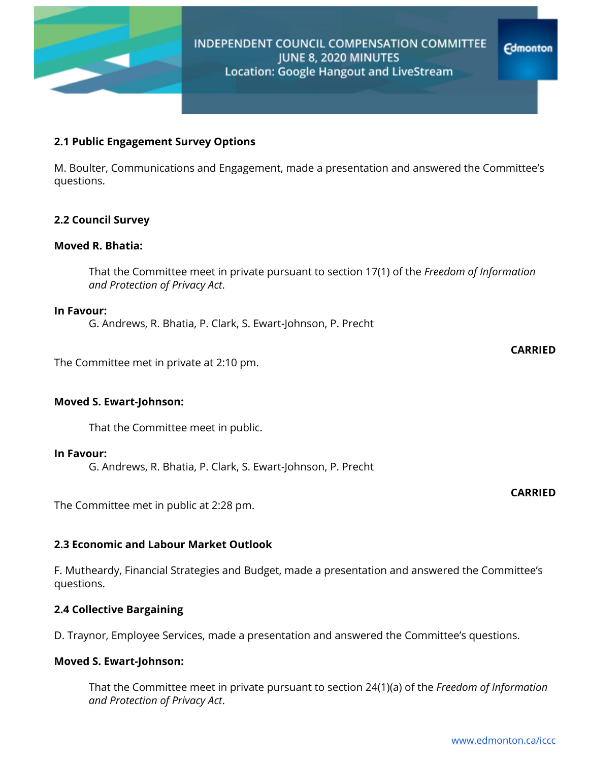

**Edmonton** 

**CARRIED**

**CARRIED**

### **2.1 Public Engagement Survey Options**

M. Boulter, Communications and Engagement, made a presentation and answered the Committee's questions.

### **2.2 Council Survey**

#### **Moved R. Bhatia:**

That the Committee meet in private pursuant to section 17(1) of the *Freedom of Information and Protection of Privacy Act*.

#### **In Favour:**

G. Andrews, R. Bhatia, P. Clark, S. Ewart-Johnson, P. Precht

The Committee met in private at 2:10 pm.

### **Moved S. Ewart-Johnson:**

That the Committee meet in public.

#### **In Favour:**

G. Andrews, R. Bhatia, P. Clark, S. Ewart-Johnson, P. Precht

The Committee met in public at 2:28 pm.

### **2.3 Economic and Labour Market Outlook**

F. Mutheardy, Financial Strategies and Budget, made a presentation and answered the Committee's questions.

### **2.4 Collective Bargaining**

D. Traynor, Employee Services, made a presentation and answered the Committee's questions.

### **Moved S. Ewart-Johnson:**

That the Committee meet in private pursuant to section 24(1)(a) of the *Freedom of Information and Protection of Privacy Act*.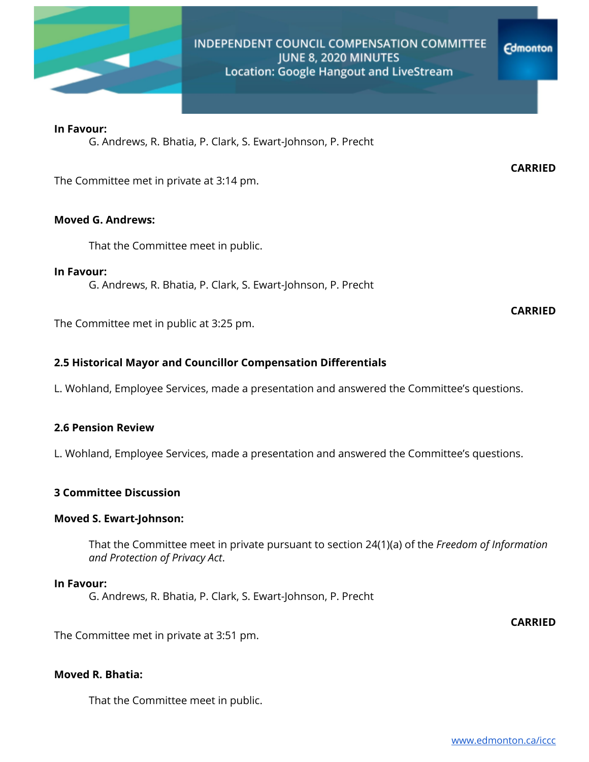

# INDEPENDENT COUNCIL COMPENSATION COMMITTEE JUNE 8, 2020 MINUTES Location: Google Hangout and LiveStream

#### **In Favour:**

G. Andrews, R. Bhatia, P. Clark, S. Ewart-Johnson, P. Precht

The Committee met in private at 3:14 pm.

#### **Moved G. Andrews:**

That the Committee meet in public.

**In Favour:**

G. Andrews, R. Bhatia, P. Clark, S. Ewart-Johnson, P. Precht

The Committee met in public at 3:25 pm.

### **2.5 Historical Mayor and Councillor Compensation Differentials**

L. Wohland, Employee Services, made a presentation and answered the Committee's questions.

### **2.6 Pension Review**

L. Wohland, Employee Services, made a presentation and answered the Committee's questions.

### **3 Committee Discussion**

#### **Moved S. Ewart-Johnson:**

That the Committee meet in private pursuant to section 24(1)(a) of the *Freedom of Information and Protection of Privacy Act*.

## **In Favour:**

G. Andrews, R. Bhatia, P. Clark, S. Ewart-Johnson, P. Precht

**CARRIED**

The Committee met in private at 3:51 pm.

### **Moved R. Bhatia:**

That the Committee meet in public.

**CARRIED**

**Edmonton** 

**CARRIED**